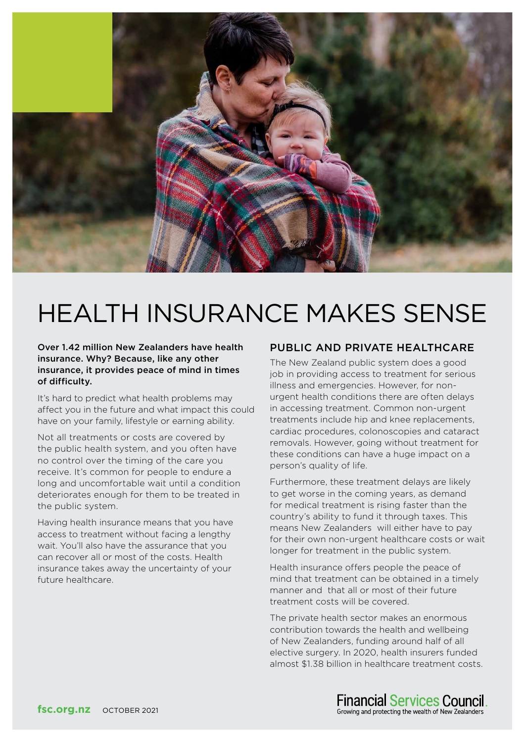

# HEALTH INSURANCE MAKES SENSE

#### Over 1.42 million New Zealanders have health insurance. Why? Because, like any other insurance, it provides peace of mind in times of difficulty.

It's hard to predict what health problems may affect you in the future and what impact this could have on your family, lifestyle or earning ability.

Not all treatments or costs are covered by the public health system, and you often have no control over the timing of the care you receive. It's common for people to endure a long and uncomfortable wait until a condition deteriorates enough for them to be treated in the public system.

Having health insurance means that you have access to treatment without facing a lengthy wait. You'll also have the assurance that you can recover all or most of the costs. Health insurance takes away the uncertainty of your future healthcare.

#### PUBLIC AND PRIVATE HEALTHCARE

The New Zealand public system does a good job in providing access to treatment for serious illness and emergencies. However, for nonurgent health conditions there are often delays in accessing treatment. Common non-urgent treatments include hip and knee replacements, cardiac procedures, colonoscopies and cataract removals. However, going without treatment for these conditions can have a huge impact on a person's quality of life.

Furthermore, these treatment delays are likely to get worse in the coming years, as demand for medical treatment is rising faster than the country's ability to fund it through taxes. This means New Zealanders will either have to pay for their own non-urgent healthcare costs or wait longer for treatment in the public system.

Health insurance offers people the peace of mind that treatment can be obtained in a timely manner and that all or most of their future treatment costs will be covered.

The private health sector makes an enormous contribution towards the health and wellbeing of New Zealanders, funding around half of all elective surgery. In 2020, health insurers funded almost \$1.38 billion in healthcare treatment costs.

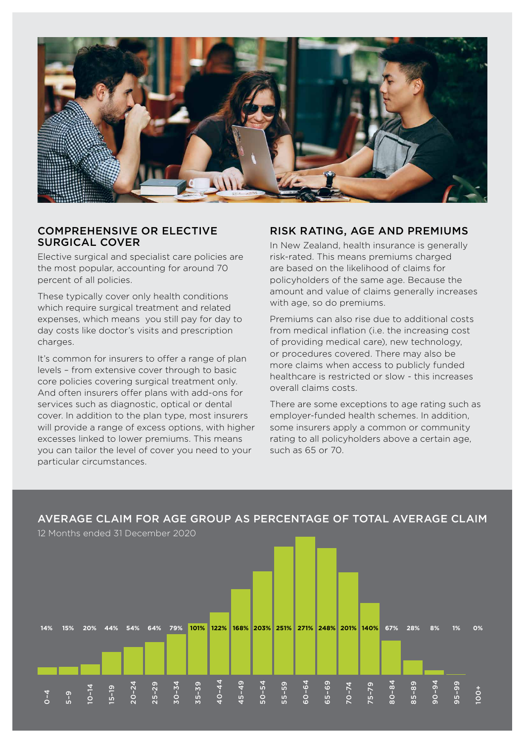

#### COMPREHENSIVE OR ELECTIVE SURGICAL COVER

Elective surgical and specialist care policies are the most popular, accounting for around 70 percent of all policies.

These typically cover only health conditions which require surgical treatment and related expenses, which means you still pay for day to day costs like doctor's visits and prescription charges.

It's common for insurers to offer a range of plan levels – from extensive cover through to basic core policies covering surgical treatment only. And often insurers offer plans with add-ons for services such as diagnostic, optical or dental cover. In addition to the plan type, most insurers will provide a range of excess options, with higher excesses linked to lower premiums. This means you can tailor the level of cover you need to your particular circumstances.

#### RISK RATING, AGE AND PREMIUMS

In New Zealand, health insurance is generally risk-rated. This means premiums charged are based on the likelihood of claims for policyholders of the same age. Because the amount and value of claims generally increases with age, so do premiums.

Premiums can also rise due to additional costs from medical inflation (i.e. the increasing cost of providing medical care), new technology, or procedures covered. There may also be more claims when access to publicly funded healthcare is restricted or slow - this increases overall claims costs.

There are some exceptions to age rating such as employer-funded health schemes. In addition, some insurers apply a common or community rating to all policyholders above a certain age, such as 65 or 70.

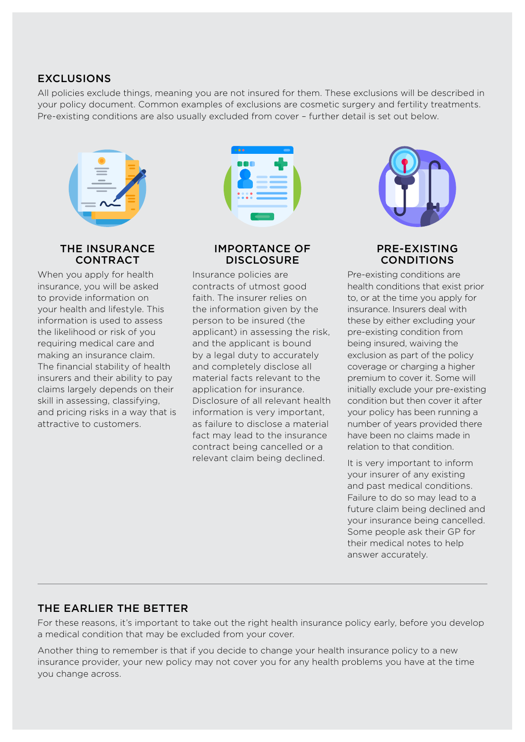## EXCLUSIONS

All policies exclude things, meaning you are not insured for them. These exclusions will be described in your policy document. Common examples of exclusions are cosmetic surgery and fertility treatments. Pre-existing conditions are also usually excluded from cover – further detail is set out below.



#### THE INSURANCE CONTRACT

When you apply for health insurance, you will be asked to provide information on your health and lifestyle. This information is used to assess the likelihood or risk of you requiring medical care and making an insurance claim. The financial stability of health insurers and their ability to pay claims largely depends on their skill in assessing, classifying, and pricing risks in a way that is attractive to customers.

|  | $\bullet$ $\bullet$                        |                                                                                                                                                                                                                                      | $\blacksquare$            |  |
|--|--------------------------------------------|--------------------------------------------------------------------------------------------------------------------------------------------------------------------------------------------------------------------------------------|---------------------------|--|
|  | 00 O                                       | المستور المتعارف                                                                                                                                                                                                                     | <b>The Common Service</b> |  |
|  | $\bullet\bullet\bullet\bullet$<br>$-0.0.0$ | <u> and the second second second second second second second second second second second second second second second second second second second second second second second second second second second second second second se</u> |                           |  |

### IMPORTANCE OF **DISCLOSURE**

Insurance policies are contracts of utmost good faith. The insurer relies on the information given by the person to be insured (the applicant) in assessing the risk, and the applicant is bound by a legal duty to accurately and completely disclose all material facts relevant to the application for insurance. Disclosure of all relevant health information is very important, as failure to disclose a material fact may lead to the insurance contract being cancelled or a relevant claim being declined.



#### PRE-EXISTING CONDITIONS

Pre-existing conditions are health conditions that exist prior to, or at the time you apply for insurance. Insurers deal with these by either excluding your pre-existing condition from being insured, waiving the exclusion as part of the policy coverage or charging a higher premium to cover it. Some will initially exclude your pre-existing condition but then cover it after your policy has been running a number of years provided there have been no claims made in relation to that condition.

It is very important to inform your insurer of any existing and past medical conditions. Failure to do so may lead to a future claim being declined and your insurance being cancelled. Some people ask their GP for their medical notes to help answer accurately.

## THE EARLIER THE BETTER

For these reasons, it's important to take out the right health insurance policy early, before you develop a medical condition that may be excluded from your cover.

Another thing to remember is that if you decide to change your health insurance policy to a new insurance provider, your new policy may not cover you for any health problems you have at the time you change across.